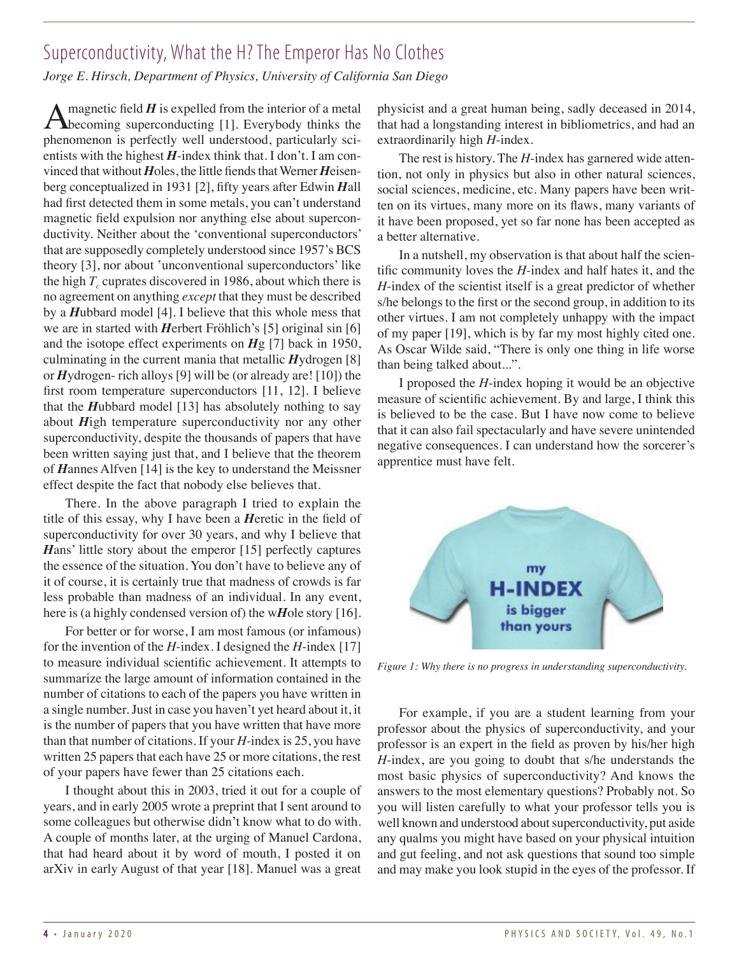## Superconductivity, What the H? The Emperor Has No Clothes

*Jorge E. Hirsch, Department of Physics, University of California San Diego*

A magnetic field  $H$  is expelled from the interior of a metal becoming superconducting  $[1]$ . Everybody thinks the phenomenon is perfectly well understood, particularly scientists with the highest  $H$ -index think that. I don't. I am convinced that without *H*oles, the little fiends that Werner *H*eisenberg conceptualized in 1931 [2], fifty years after Edwin *H*all had first detected them in some metals, you can't understand magnetic field expulsion nor anything else about superconductivity. Neither about the 'conventional superconductors' that are supposedly completely understood since 1957's BCS theory [3], nor about 'unconventional superconductors' like the high  $T_c$  cuprates discovered in 1986, about which there is no agreement on anything *except* that they must be described by a *H*ubbard model [4]. I believe that this whole mess that we are in started with *H*erbert Fröhlich's [5] original sin [6] and the isotope effect experiments on *H*g [7] back in 1950, culminating in the current mania that metallic *H*ydrogen [8] or *H*ydrogen- rich alloys [9] will be (or already are! [10]) the first room temperature superconductors [11, 12]. I believe that the *H*ubbard model [13] has absolutely nothing to say about *H*igh temperature superconductivity nor any other superconductivity, despite the thousands of papers that have been written saying just that, and I believe that the theorem of *H*annes Alfven [14] is the key to understand the Meissner effect despite the fact that nobody else believes that.

There. In the above paragraph I tried to explain the title of this essay, why I have been a *H*eretic in the field of superconductivity for over 30 years, and why I believe that *Hans'* little story about the emperor [15] perfectly captures the essence of the situation. You don't have to believe any of it of course, it is certainly true that madness of crowds is far less probable than madness of an individual. In any event, here is (a highly condensed version of) the w*H*ole story [16].

For better or for worse, I am most famous (or infamous) for the invention of the *H*-index. I designed the *H*-index [17] to measure individual scientific achievement. It attempts to summarize the large amount of information contained in the number of citations to each of the papers you have written in a single number. Just in case you haven't yet heard about it, it is the number of papers that you have written that have more than that number of citations. If your *H*-index is 25, you have written 25 papers that each have 25 or more citations, the rest of your papers have fewer than 25 citations each.

I thought about this in 2003, tried it out for a couple of years, and in early 2005 wrote a preprint that I sent around to some colleagues but otherwise didn't know what to do with. A couple of months later, at the urging of Manuel Cardona, that had heard about it by word of mouth, I posted it on arXiv in early August of that year [18]. Manuel was a great physicist and a great human being, sadly deceased in 2014, that had a longstanding interest in bibliometrics, and had an extraordinarily high *H*-index.

The rest is history. The *H*-index has garnered wide attention, not only in physics but also in other natural sciences, social sciences, medicine, etc. Many papers have been written on its virtues, many more on its flaws, many variants of it have been proposed, yet so far none has been accepted as a better alternative.

In a nutshell, my observation is that about half the scientific community loves the *H*-index and half hates it, and the *H*-index of the scientist itself is a great predictor of whether s/he belongs to the first or the second group, in addition to its other virtues. I am not completely unhappy with the impact of my paper [19], which is by far my most highly cited one. As Oscar Wilde said, "There is only one thing in life worse than being talked about...".

I proposed the *H*-index hoping it would be an objective measure of scientific achievement. By and large, I think this is believed to be the case. But I have now come to believe that it can also fail spectacularly and have severe unintended negative consequences. I can understand how the sorcerer's apprentice must have felt.



*Figure 1: Why there is no progress in understanding superconductivity.*

For example, if you are a student learning from your professor about the physics of superconductivity, and your professor is an expert in the field as proven by his/her high *H*-index, are you going to doubt that s/he understands the most basic physics of superconductivity? And knows the answers to the most elementary questions? Probably not. So you will listen carefully to what your professor tells you is well known and understood about superconductivity, put aside any qualms you might have based on your physical intuition and gut feeling, and not ask questions that sound too simple and may make you look stupid in the eyes of the professor. If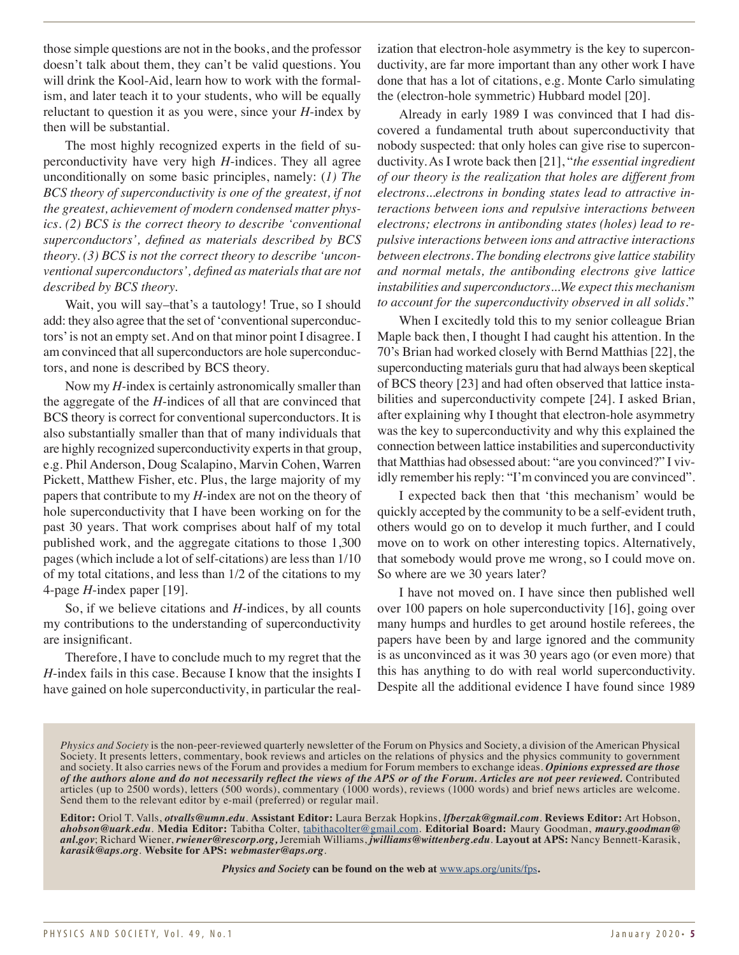those simple questions are not in the books, and the professor doesn't talk about them, they can't be valid questions. You will drink the Kool-Aid, learn how to work with the formalism, and later teach it to your students, who will be equally reluctant to question it as you were, since your *H*-index by then will be substantial.

The most highly recognized experts in the field of superconductivity have very high *H*-indices. They all agree unconditionally on some basic principles, namely: (*1) The BCS theory of superconductivity is one of the greatest, if not the greatest, achievement of modern condensed matter physics. (2) BCS is the correct theory to describe 'conventional superconductors', defined as materials described by BCS theory. (3) BCS is not the correct theory to describe 'unconventional superconductors', defined as materials that are not described by BCS theory.*

Wait, you will say–that's a tautology! True, so I should add: they also agree that the set of 'conventional superconductors' is not an empty set. And on that minor point I disagree. I am convinced that all superconductors are hole superconductors, and none is described by BCS theory.

Now my *H-*index is certainly astronomically smaller than the aggregate of the *H*-indices of all that are convinced that BCS theory is correct for conventional superconductors. It is also substantially smaller than that of many individuals that are highly recognized superconductivity experts in that group, e.g. Phil Anderson, Doug Scalapino, Marvin Cohen, Warren Pickett, Matthew Fisher, etc. Plus, the large majority of my papers that contribute to my *H*-index are not on the theory of hole superconductivity that I have been working on for the past 30 years. That work comprises about half of my total published work, and the aggregate citations to those 1,300 pages (which include a lot of self-citations) are less than 1/10 of my total citations, and less than 1/2 of the citations to my 4-page *H*-index paper [19].

So, if we believe citations and *H*-indices, by all counts my contributions to the understanding of superconductivity are insignificant.

Therefore, I have to conclude much to my regret that the *H*-index fails in this case. Because I know that the insights I have gained on hole superconductivity, in particular the realization that electron-hole asymmetry is the key to superconductivity, are far more important than any other work I have done that has a lot of citations, e.g. Monte Carlo simulating the (electron-hole symmetric) Hubbard model [20].

Already in early 1989 I was convinced that I had discovered a fundamental truth about superconductivity that nobody suspected: that only holes can give rise to superconductivity. As I wrote back then [21], "*the essential ingredient of our theory is the realization that holes are different from electrons...electrons in bonding states lead to attractive interactions between ions and repulsive interactions between electrons; electrons in antibonding states (holes) lead to repulsive interactions between ions and attractive interactions between electrons. The bonding electrons give lattice stability and normal metals, the antibonding electrons give lattice instabilities and superconductors...We expect this mechanism to account for the superconductivity observed in all solids.*"

When I excitedly told this to my senior colleague Brian Maple back then, I thought I had caught his attention. In the 70's Brian had worked closely with Bernd Matthias [22], the superconducting materials guru that had always been skeptical of BCS theory [23] and had often observed that lattice instabilities and superconductivity compete [24]. I asked Brian, after explaining why I thought that electron-hole asymmetry was the key to superconductivity and why this explained the connection between lattice instabilities and superconductivity that Matthias had obsessed about: "are you convinced?" I vividly remember his reply: "I'm convinced you are convinced".

I expected back then that 'this mechanism' would be quickly accepted by the community to be a self-evident truth, others would go on to develop it much further, and I could move on to work on other interesting topics. Alternatively, that somebody would prove me wrong, so I could move on. So where are we 30 years later?

I have not moved on. I have since then published well over 100 papers on hole superconductivity [16], going over many humps and hurdles to get around hostile referees, the papers have been by and large ignored and the community is as unconvinced as it was 30 years ago (or even more) that this has anything to do with real world superconductivity. Despite all the additional evidence I have found since 1989

*Physics and Society* **can be found on the web at** [www.aps.org/units/fps](http://www.aps.org/units/fps)**.**

*Physics and Society* is the non-peer-reviewed quarterly newsletter of the Forum on Physics and Society, a division of the American Physical Society. It presents letters, commentary, book reviews and articles on the relations of physics and the physics community to government and society. It also carries news of the Forum and provides a medium for Forum members to exchange ideas. *Opinions expressed are those of the authors alone and do not necessarily reflect the views of the APS or of the Forum. Articles are not peer reviewed.* Contributed articles (up to 2500 words), letters (500 words), commentary (1000 words), reviews (1000 words) and brief news articles are welcome. Send them to the relevant editor by e-mail (preferred) or regular mail.

**Editor:** Oriol T. Valls, *otvalls@umn.edu*. **Assistant Editor:** Laura Berzak Hopkins, *lfberzak@gmail.com*. **Reviews Editor:** Art Hobson, *[ahobson@uark.edu](mailto:ahobson%40uark.edu.?subject=)*. **Media Editor:** Tabitha Colter, [tabithacolter@gmail.com](mailto:tabithacoltergmail.com?subject=). **Editorial Board:** Maury Goodman, *[maury.goodman@](mailto:maury.goodman%40anl.gov?subject=) [anl.gov](mailto:maury.goodman%40anl.gov?subject=)*; Richard Wiener, *[rwiener@rescorp.org,](mailto:rwiener%40rescorp.org?subject=)* Jeremiah Williams, *[jwilliams@wittenberg.edu](mailto:jwilliams%40wittenberg.edu?subject=)*. **Layout at APS:** Nancy Bennett-Karasik, *karasik@aps.org*. **Website for APS:** *[webmaster@aps.org](mailto:webmaster%40aps.org?subject=)*.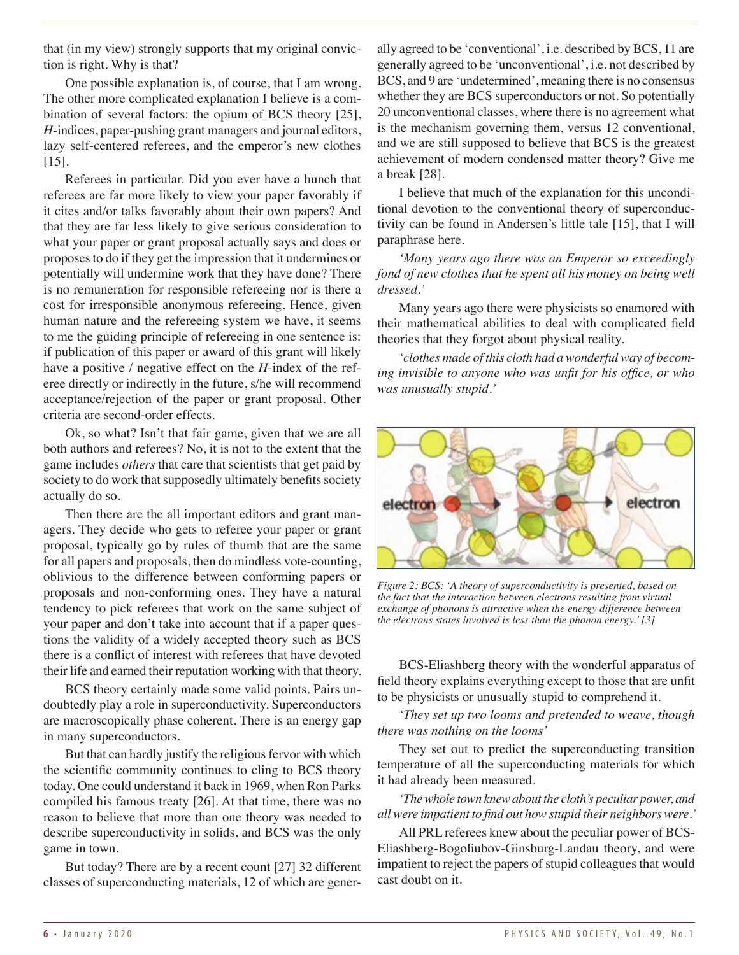that (in my view) strongly supports that my original conviction is right. Why is that?

One possible explanation is, of course, that I am wrong. The other more complicated explanation I believe is a combination of several factors: the opium of BCS theory [25], *H*-indices, paper-pushing grant managers and journal editors, lazy self-centered referees, and the emperor's new clothes [15].

Referees in particular. Did you ever have a hunch that referees are far more likely to view your paper favorably if it cites and/or talks favorably about their own papers? And that they are far less likely to give serious consideration to what your paper or grant proposal actually says and does or proposes to do if they get the impression that it undermines or potentially will undermine work that they have done? There is no remuneration for responsible refereeing nor is there a cost for irresponsible anonymous refereeing. Hence, given human nature and the refereeing system we have, it seems to me the guiding principle of refereeing in one sentence is: if publication of this paper or award of this grant will likely have a positive / negative effect on the *H*-index of the referee directly or indirectly in the future, s/he will recommend acceptance/rejection of the paper or grant proposal. Other criteria are second-order effects.

Ok, so what? Isn't that fair game, given that we are all both authors and referees? No, it is not to the extent that the game includes *others* that care that scientists that get paid by society to do work that supposedly ultimately benefits society actually do so.

Then there are the all important editors and grant managers. They decide who gets to referee your paper or grant proposal, typically go by rules of thumb that are the same for all papers and proposals, then do mindless vote-counting, oblivious to the difference between conforming papers or proposals and non-conforming ones. They have a natural tendency to pick referees that work on the same subject of your paper and don't take into account that if a paper questions the validity of a widely accepted theory such as BCS there is a conflict of interest with referees that have devoted their life and earned their reputation working with that theory.

BCS theory certainly made some valid points. Pairs undoubtedly play a role in superconductivity. Superconductors are macroscopically phase coherent. There is an energy gap in many superconductors.

But that can hardly justify the religious fervor with which the scientific community continues to cling to BCS theory today. One could understand it back in 1969, when Ron Parks compiled his famous treaty [26]. At that time, there was no reason to believe that more than one theory was needed to describe superconductivity in solids, and BCS was the only game in town.

But today? There are by a recent count [27] 32 different classes of superconducting materials, 12 of which are generally agreed to be 'conventional', i.e. described by BCS, 11 are generally agreed to be 'unconventional', i.e. not described by BCS, and 9 are 'undetermined', meaning there is no consensus whether they are BCS superconductors or not. So potentially 20 unconventional classes, where there is no agreement what is the mechanism governing them, versus 12 conventional, and we are still supposed to believe that BCS is the greatest achievement of modern condensed matter theory? Give me a break [28].

I believe that much of the explanation for this unconditional devotion to the conventional theory of superconductivity can be found in Andersen's little tale [15], that I will paraphrase here.

*'Many years ago there was an Emperor so exceedingly fond of new clothes that he spent all his money on being well dressed.'*

Many years ago there were physicists so enamored with their mathematical abilities to deal with complicated field theories that they forgot about physical reality.

*'clothes made of this cloth had a wonderful way of becoming invisible to anyone who was unfit for his office, or who was unusually stupid.'*



*Figure 2: BCS: 'A theory of superconductivity is presented, based on the fact that the interaction between electrons resulting from virtual exchange of phonons is attractive when the energy difference between the electrons states involved is less than the phonon energy.' [3]*

BCS-Eliashberg theory with the wonderful apparatus of field theory explains everything except to those that are unfit to be physicists or unusually stupid to comprehend it.

*'They set up two looms and pretended to weave, though there was nothing on the looms'*

They set out to predict the superconducting transition temperature of all the superconducting materials for which it had already been measured.

*'The whole town knew about the cloth's peculiar power, and all were impatient to find out how stupid their neighbors were.'*

All PRL referees knew about the peculiar power of BCS-Eliashberg-Bogoliubov-Ginsburg-Landau theory, and were impatient to reject the papers of stupid colleagues that would cast doubt on it.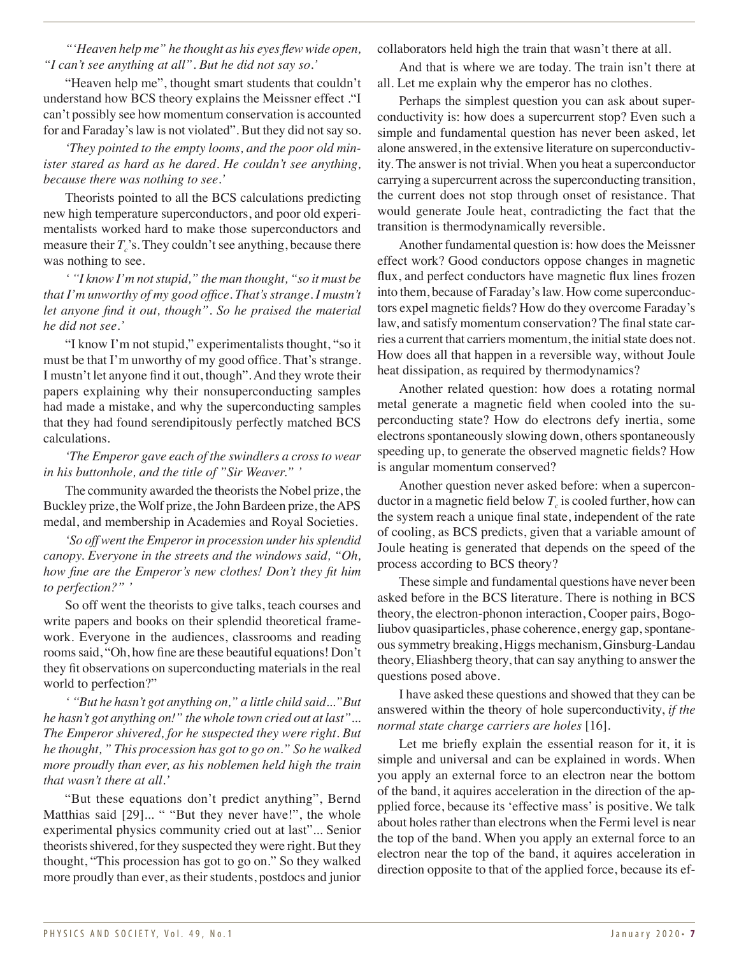*"'Heaven help me" he thought as his eyes flew wide open, "I can't see anything at all". But he did not say so.'*

"Heaven help me", thought smart students that couldn't understand how BCS theory explains the Meissner effect ."I can't possibly see how momentum conservation is accounted for and Faraday's law is not violated". But they did not say so.

*'They pointed to the empty looms, and the poor old minister stared as hard as he dared. He couldn't see anything, because there was nothing to see.'*

Theorists pointed to all the BCS calculations predicting new high temperature superconductors, and poor old experimentalists worked hard to make those superconductors and measure their  $T_c$ 's. They couldn't see anything, because there was nothing to see.

*' "I know I'm not stupid," the man thought, "so it must be that I'm unworthy of my good office. That's strange. I mustn't let anyone find it out, though". So he praised the material he did not see.'*

"I know I'm not stupid," experimentalists thought, "so it must be that I'm unworthy of my good office. That's strange. I mustn't let anyone find it out, though". And they wrote their papers explaining why their nonsuperconducting samples had made a mistake, and why the superconducting samples that they had found serendipitously perfectly matched BCS calculations.

## *'The Emperor gave each of the swindlers a cross to wear in his buttonhole, and the title of "Sir Weaver." '*

The community awarded the theorists the Nobel prize, the Buckley prize, the Wolf prize, the John Bardeen prize, the APS medal, and membership in Academies and Royal Societies.

*'So off went the Emperor in procession under his splendid canopy. Everyone in the streets and the windows said, "Oh, how fine are the Emperor's new clothes! Don't they fit him to perfection?" '*

So off went the theorists to give talks, teach courses and write papers and books on their splendid theoretical framework. Everyone in the audiences, classrooms and reading rooms said, "Oh, how fine are these beautiful equations! Don't they fit observations on superconducting materials in the real world to perfection?"

*' "But he hasn't got anything on," a little child said..."But he hasn't got anything on!" the whole town cried out at last"... The Emperor shivered, for he suspected they were right. But he thought, " This procession has got to go on." So he walked more proudly than ever, as his noblemen held high the train that wasn't there at all.'*

"But these equations don't predict anything", Bernd Matthias said [29]... " "But they never have!", the whole experimental physics community cried out at last"... Senior theorists shivered, for they suspected they were right. But they thought, "This procession has got to go on." So they walked more proudly than ever, as their students, postdocs and junior

collaborators held high the train that wasn't there at all.

And that is where we are today. The train isn't there at all. Let me explain why the emperor has no clothes.

Perhaps the simplest question you can ask about superconductivity is: how does a supercurrent stop? Even such a simple and fundamental question has never been asked, let alone answered, in the extensive literature on superconductivity. The answer is not trivial. When you heat a superconductor carrying a supercurrent across the superconducting transition, the current does not stop through onset of resistance. That would generate Joule heat, contradicting the fact that the transition is thermodynamically reversible.

Another fundamental question is: how does the Meissner effect work? Good conductors oppose changes in magnetic flux, and perfect conductors have magnetic flux lines frozen into them, because of Faraday's law. How come superconductors expel magnetic fields? How do they overcome Faraday's law, and satisfy momentum conservation? The final state carries a current that carriers momentum, the initial state does not. How does all that happen in a reversible way, without Joule heat dissipation, as required by thermodynamics?

Another related question: how does a rotating normal metal generate a magnetic field when cooled into the superconducting state? How do electrons defy inertia, some electrons spontaneously slowing down, others spontaneously speeding up, to generate the observed magnetic fields? How is angular momentum conserved?

Another question never asked before: when a superconductor in a magnetic field below  $T_c$  is cooled further, how can the system reach a unique final state, independent of the rate of cooling, as BCS predicts, given that a variable amount of Joule heating is generated that depends on the speed of the process according to BCS theory?

These simple and fundamental questions have never been asked before in the BCS literature. There is nothing in BCS theory, the electron-phonon interaction, Cooper pairs, Bogoliubov quasiparticles, phase coherence, energy gap, spontaneous symmetry breaking, Higgs mechanism, Ginsburg-Landau theory, Eliashberg theory, that can say anything to answer the questions posed above.

I have asked these questions and showed that they can be answered within the theory of hole superconductivity, *if the normal state charge carriers are holes* [16].

Let me briefly explain the essential reason for it, it is simple and universal and can be explained in words. When you apply an external force to an electron near the bottom of the band, it aquires acceleration in the direction of the appplied force, because its 'effective mass' is positive. We talk about holes rather than electrons when the Fermi level is near the top of the band. When you apply an external force to an electron near the top of the band, it aquires acceleration in direction opposite to that of the applied force, because its ef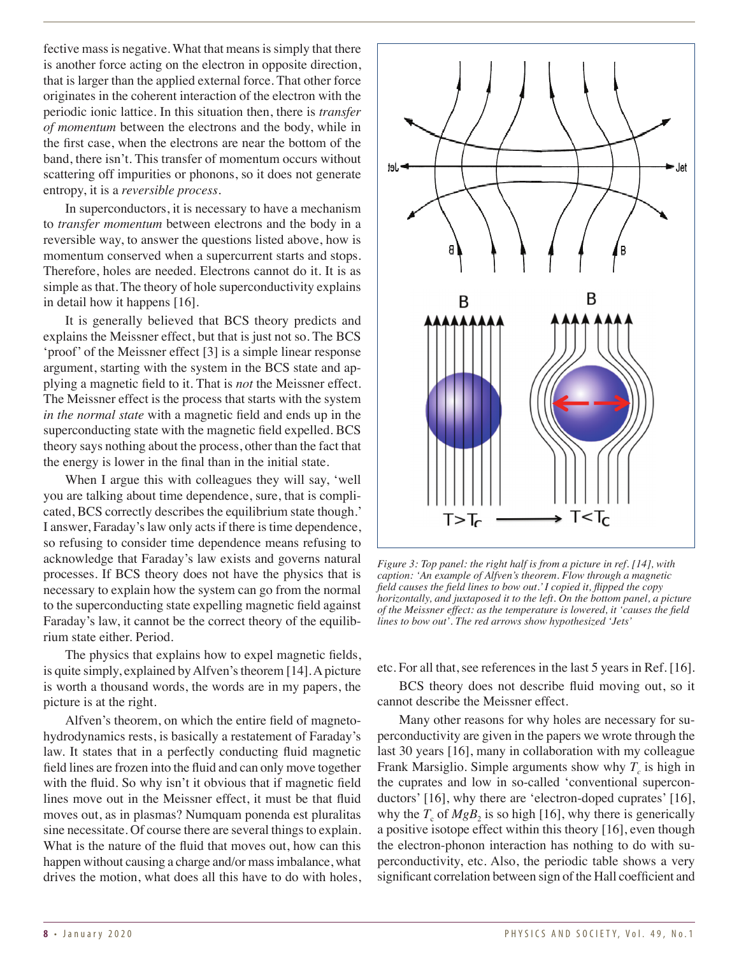fective mass is negative. What that means is simply that there is another force acting on the electron in opposite direction, that is larger than the applied external force. That other force originates in the coherent interaction of the electron with the periodic ionic lattice. In this situation then, there is *transfer of momentum* between the electrons and the body, while in the first case, when the electrons are near the bottom of the band, there isn't. This transfer of momentum occurs without scattering off impurities or phonons, so it does not generate entropy, it is a *reversible process*.

In superconductors, it is necessary to have a mechanism to *transfer momentum* between electrons and the body in a reversible way, to answer the questions listed above, how is momentum conserved when a supercurrent starts and stops. Therefore, holes are needed. Electrons cannot do it. It is as simple as that. The theory of hole superconductivity explains in detail how it happens [16].

It is generally believed that BCS theory predicts and explains the Meissner effect, but that is just not so. The BCS 'proof' of the Meissner effect [3] is a simple linear response argument, starting with the system in the BCS state and applying a magnetic field to it. That is *not* the Meissner effect. The Meissner effect is the process that starts with the system *in the normal state* with a magnetic field and ends up in the superconducting state with the magnetic field expelled. BCS theory says nothing about the process, other than the fact that the energy is lower in the final than in the initial state.

When I argue this with colleagues they will say, 'well you are talking about time dependence, sure, that is complicated, BCS correctly describes the equilibrium state though.' I answer, Faraday's law only acts if there is time dependence, so refusing to consider time dependence means refusing to acknowledge that Faraday's law exists and governs natural processes. If BCS theory does not have the physics that is necessary to explain how the system can go from the normal to the superconducting state expelling magnetic field against Faraday's law, it cannot be the correct theory of the equilibrium state either. Period.

The physics that explains how to expel magnetic fields, is quite simply, explained by Alfven's theorem [14]. A picture is worth a thousand words, the words are in my papers, the picture is at the right.

Alfven's theorem, on which the entire field of magnetohydrodynamics rests, is basically a restatement of Faraday's law. It states that in a perfectly conducting fluid magnetic field lines are frozen into the fluid and can only move together with the fluid. So why isn't it obvious that if magnetic field lines move out in the Meissner effect, it must be that fluid moves out, as in plasmas? Numquam ponenda est pluralitas sine necessitate. Of course there are several things to explain. What is the nature of the fluid that moves out, how can this happen without causing a charge and/or mass imbalance, what drives the motion, what does all this have to do with holes,



*Figure 3: Top panel: the right half is from a picture in ref. [14], with caption: 'An example of Alfven's theorem. Flow through a magnetic field causes the field lines to bow out.' I copied it, flipped the copy horizontally, and juxtaposed it to the left. On the bottom panel, a picture of the Meissner effect: as the temperature is lowered, it 'causes the field lines to bow out'. The red arrows show hypothesized 'Jets'*

etc. For all that, see references in the last 5 years in Ref. [16].

BCS theory does not describe fluid moving out, so it cannot describe the Meissner effect.

Many other reasons for why holes are necessary for superconductivity are given in the papers we wrote through the last 30 years [16], many in collaboration with my colleague Frank Marsiglio. Simple arguments show why  $T_c$  is high in the cuprates and low in so-called 'conventional superconductors' [16], why there are 'electron-doped cuprates' [16], why the  $T_c$  of  $MgB_2$  is so high [16], why there is generically a positive isotope effect within this theory [16], even though the electron-phonon interaction has nothing to do with superconductivity, etc. Also, the periodic table shows a very significant correlation between sign of the Hall coefficient and